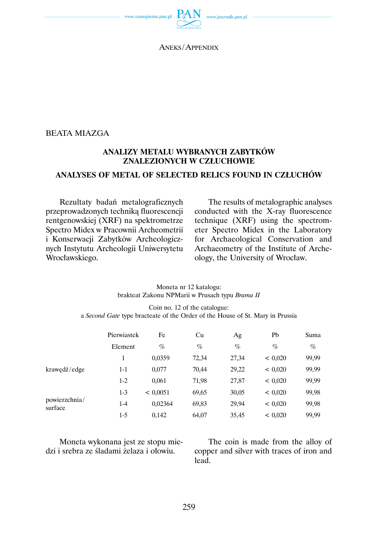

ANEKS / APPENDIX

## BEATA MIAZGA

## **ANALIZY METALU WYBRANYCH ZABYTKÓW ZNALEZIONYCH W CZŁUCHOWIE**

## **ANALYSES OF METAL OF SELECTED RELICS FOUND IN CZŁUCHÓW**

Rezultaty badań metalograficznych przeprowadzonych techniką fluorescencji rentgenowskiej (XRF) na spektrometrze Spectro Midex w Pracownii Archeometrii i Konserwacji Zabytków Archeologicznych Instytutu Archeologii Uniwersytetu Wrocławskiego.

The results of metalographic analyses conducted with the X-ray fluorescence technique (XRF) using the spectrometer Spectro Midex in the Laboratory for Archaeological Conservation and Archaeometry of the Institute of Archeology, the University of Wrocław.

| Moneta nr 12 katalogu:                          |  |
|-------------------------------------------------|--|
| brakteat Zakonu NPMarii w Prusach typu Brama II |  |

Coin no. 12 of the catalogue: a *Second Gate* type bracteate of the Order of the House of St. Mary in Prussia

|                          | Pierwiastek | Fe       | Cu    | Ag    | Pb      | Suma  |
|--------------------------|-------------|----------|-------|-------|---------|-------|
|                          | Element     | $\%$     | $\%$  | $\%$  | $\%$    | $\%$  |
|                          | 1           | 0.0359   | 72,34 | 27,34 | < 0.020 | 99,99 |
| krawędź/edge             | $1 - 1$     | 0,077    | 70,44 | 29,22 | < 0.020 | 99,99 |
|                          | $1-2$       | 0.061    | 71,98 | 27,87 | < 0.020 | 99,99 |
| powierzchnia/<br>surface | $1-3$       | < 0.0051 | 69,65 | 30,05 | < 0.020 | 99,98 |
|                          | $1 - 4$     | 0.02364  | 69,83 | 29,94 | < 0.020 | 99,98 |
|                          | 1-5         | 0.142    | 64,07 | 35,45 | < 0.020 | 99,99 |

Moneta wykonana jest ze stopu miedzi i srebra ze śladami żelaza i ołowiu.

The coin is made from the alloy of copper and silver with traces of iron and lead.